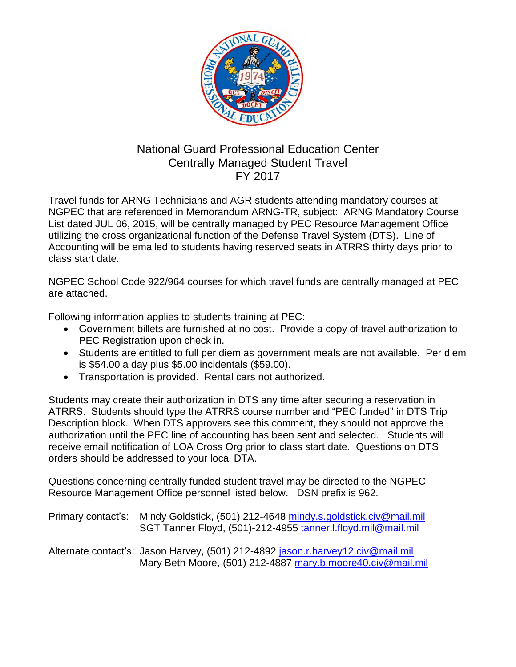

## National Guard Professional Education Center Centrally Managed Student Travel FY 2017

Travel funds for ARNG Technicians and AGR students attending mandatory courses at NGPEC that are referenced in Memorandum ARNG-TR, subject: ARNG Mandatory Course List dated JUL 06, 2015, will be centrally managed by PEC Resource Management Office utilizing the cross organizational function of the Defense Travel System (DTS). Line of Accounting will be emailed to students having reserved seats in ATRRS thirty days prior to class start date.

NGPEC School Code 922/964 courses for which travel funds are centrally managed at PEC are attached.

Following information applies to students training at PEC:

- Government billets are furnished at no cost. Provide a copy of travel authorization to PEC Registration upon check in.
- Students are entitled to full per diem as government meals are not available. Per diem is \$54.00 a day plus \$5.00 incidentals (\$59.00).
- Transportation is provided. Rental cars not authorized.

Students may create their authorization in DTS any time after securing a reservation in ATRRS. Students should type the ATRRS course number and "PEC funded" in DTS Trip Description block. When DTS approvers see this comment, they should not approve the authorization until the PEC line of accounting has been sent and selected. Students will receive email notification of LOA Cross Org prior to class start date. Questions on DTS orders should be addressed to your local DTA.

Questions concerning centrally funded student travel may be directed to the NGPEC Resource Management Office personnel listed below. DSN prefix is 962.

| Primary contact's: Mindy Goldstick, (501) 212-4648 mindy.s.goldstick.civ@mail.mil<br>SGT Tanner Floyd, (501)-212-4955 tanner.I.floyd.mil@mail.mil |
|---------------------------------------------------------------------------------------------------------------------------------------------------|
| Alternate contact's: Jason Harvey, (501) 212-4892 jason.r.harvey12.civ@mail.mil<br>Mary Beth Moore, (501) 212-4887 mary.b.moore40.civ@mail.mil    |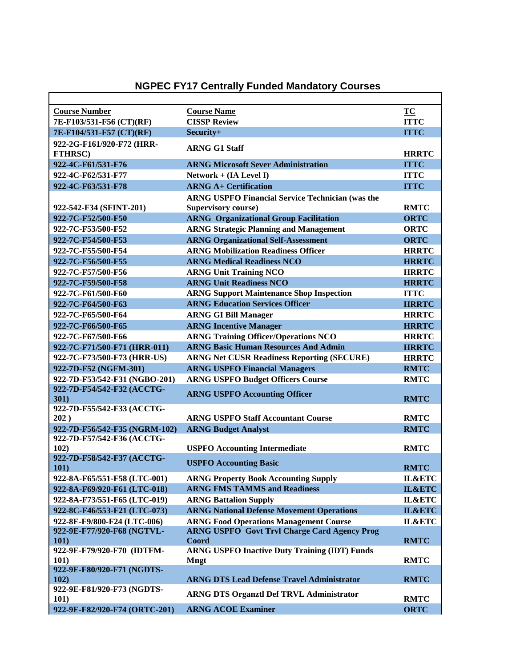## **NGPEC FY17 Centrally Funded Mandatory Courses**

| <b>Course Number</b>                                        | <b>Course Name</b>                                      | TC           |
|-------------------------------------------------------------|---------------------------------------------------------|--------------|
| 7E-F103/531-F56 (CT)(RF)                                    | <b>CISSP Review</b>                                     | <b>ITTC</b>  |
| 7E-F104/531-F57 (CT)(RF)                                    | Security+                                               | <b>ITTC</b>  |
| 922-2G-F161/920-F72 (HRR-                                   |                                                         |              |
| <b>FTHRSC)</b>                                              | <b>ARNG G1 Staff</b>                                    | <b>HRRTC</b> |
| 922-4C-F61/531-F76                                          | <b>ARNG Microsoft Sever Administration</b>              | <b>ITTC</b>  |
| 922-4C-F62/531-F77                                          | Network + (IA Level I)                                  | <b>ITTC</b>  |
| 922-4C-F63/531-F78                                          | <b>ARNG A+ Certification</b>                            | <b>ITTC</b>  |
|                                                             | <b>ARNG USPFO Financial Service Technician (was the</b> |              |
| 922-542-F34 (SFINT-201)                                     | <b>Supervisory course)</b>                              | <b>RMTC</b>  |
| 922-7C-F52/500-F50                                          | <b>ARNG</b> Organizational Group Facilitation           | <b>ORTC</b>  |
| 922-7C-F53/500-F52                                          | <b>ARNG Strategic Planning and Management</b>           | <b>ORTC</b>  |
| 922-7C-F54/500-F53                                          | <b>ARNG Organizational Self-Assessment</b>              | <b>ORTC</b>  |
| 922-7C-F55/500-F54                                          | <b>ARNG Mobilization Readiness Officer</b>              | <b>HRRTC</b> |
| 922-7C-F56/500-F55                                          | <b>ARNG Medical Readiness NCO</b>                       | <b>HRRTC</b> |
| 922-7C-F57/500-F56                                          | <b>ARNG Unit Training NCO</b>                           | <b>HRRTC</b> |
| 922-7C-F59/500-F58                                          | <b>ARNG Unit Readiness NCO</b>                          | <b>HRRTC</b> |
| 922-7C-F61/500-F60                                          | <b>ARNG Support Maintenance Shop Inspection</b>         | <b>ITTC</b>  |
| 922-7C-F64/500-F63                                          | <b>ARNG Education Services Officer</b>                  | <b>HRRTC</b> |
| 922-7C-F65/500-F64                                          | <b>ARNG GI Bill Manager</b>                             | <b>HRRTC</b> |
| 922-7C-F66/500-F65                                          | <b>ARNG Incentive Manager</b>                           | <b>HRRTC</b> |
| 922-7C-F67/500-F66                                          | <b>ARNG Training Officer/Operations NCO</b>             | <b>HRRTC</b> |
| 922-7C-F71/500-F71 (HRR-011)                                | <b>ARNG Basic Human Resources And Admin</b>             | <b>HRRTC</b> |
| 922-7C-F73/500-F73 (HRR-US)                                 | <b>ARNG Net CUSR Readiness Reporting (SECURE)</b>       | <b>HRRTC</b> |
| 922-7D-F52 (NGFM-301)                                       | <b>ARNG USPFO Financial Managers</b>                    | <b>RMTC</b>  |
| 922-7D-F53/542-F31 (NGBO-201)                               | <b>ARNG USPFO Budget Officers Course</b>                | <b>RMTC</b>  |
| 922-7D-F54/542-F32 (ACCTG-                                  | <b>ARNG USPFO Accounting Officer</b>                    |              |
| 301)                                                        |                                                         | <b>RMTC</b>  |
| 922-7D-F55/542-F33 (ACCTG-                                  |                                                         |              |
| 202)                                                        | <b>ARNG USPFO Staff Accountant Course</b>               | <b>RMTC</b>  |
| 922-7D-F56/542-F35 (NGRM-102)<br>922-7D-F57/542-F36 (ACCTG- | <b>ARNG Budget Analyst</b>                              | <b>RMTC</b>  |
| 102)                                                        | <b>USPFO</b> Accounting Intermediate                    | <b>RMTC</b>  |
| 922-7D-F58/542-F37 (ACCTG-                                  |                                                         |              |
| 101)                                                        | <b>USPFO Accounting Basic</b>                           | <b>RMTC</b>  |
| 922-8A-F65/551-F58 (LTC-001)                                | <b>ARNG Property Book Accounting Supply</b>             | IL&ETC       |
| 922-8A-F69/920-F61 (LTC-018)                                | <b>ARNG FMS TAMMS and Readiness</b>                     | IL&ETC       |
| 922-8A-F73/551-F65 (LTC-019)                                | <b>ARNG Battalion Supply</b>                            | IL&ETC       |
| 922-8C-F46/553-F21 (LTC-073)                                | <b>ARNG National Defense Movement Operations</b>        | IL&ETC       |
| 922-8E-F9/800-F24 (LTC-006)                                 | <b>ARNG Food Operations Management Course</b>           | IL&ETC       |
| 922-9E-F77/920-F68 (NGTVL-                                  | <b>ARNG USPFO Govt Trvl Charge Card Agency Prog</b>     |              |
| 101)                                                        | Coord                                                   | <b>RMTC</b>  |
| 922-9E-F79/920-F70 (IDTFM-                                  | <b>ARNG USPFO Inactive Duty Training (IDT) Funds</b>    |              |
| 101)                                                        | <b>Mngt</b>                                             | <b>RMTC</b>  |
| 922-9E-F80/920-F71 (NGDTS-                                  |                                                         |              |
| 102)                                                        | <b>ARNG DTS Lead Defense Travel Administrator</b>       | <b>RMTC</b>  |
| 922-9E-F81/920-F73 (NGDTS-<br><b>101</b> )                  | <b>ARNG DTS Organztl Def TRVL Administrator</b>         | <b>RMTC</b>  |
| 922-9E-F82/920-F74 (ORTC-201)                               | <b>ARNG ACOE Examiner</b>                               | <b>ORTC</b>  |
|                                                             |                                                         |              |